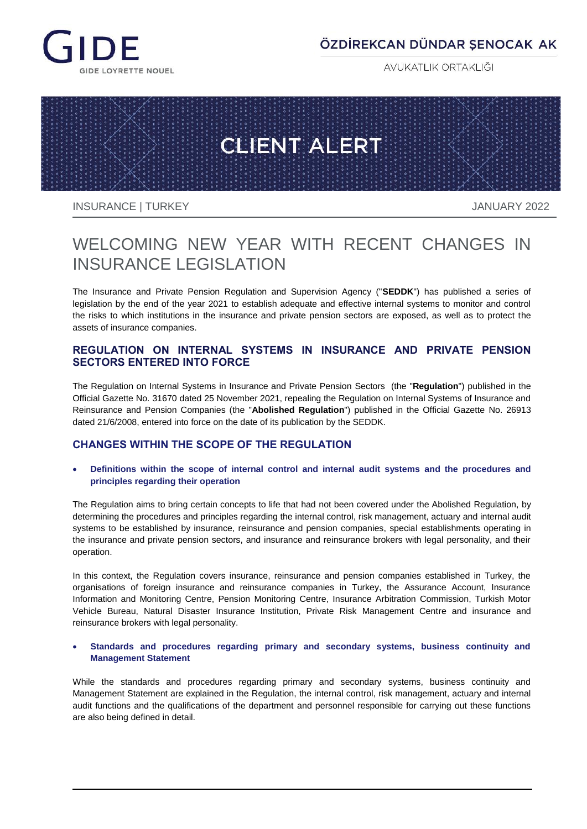

## ÖZDİREKCAN DÜNDAR ŞENOCAK AK

AVUKATLIK ORTAKLIĞI



INSURANCE | TURKEY JANUARY 2022

# WELCOMING NEW YEAR WITH RECENT CHANGES IN INSURANCE LEGISLATION

The Insurance and Private Pension Regulation and Supervision Agency ("**SEDDK**") has published a series of legislation by the end of the year 2021 to establish adequate and effective internal systems to monitor and control the risks to which institutions in the insurance and private pension sectors are exposed, as well as to protect the assets of insurance companies.

### **REGULATION ON INTERNAL SYSTEMS IN INSURANCE AND PRIVATE PENSION SECTORS ENTERED INTO FORCE**

The Regulation on Internal Systems in Insurance and Private Pension Sectors (the "**Regulation**") published in the Official Gazette No. 31670 dated 25 November 2021, repealing the Regulation on Internal Systems of Insurance and Reinsurance and Pension Companies (the "**Abolished Regulation**") published in the Official Gazette No. 26913 dated 21/6/2008, entered into force on the date of its publication by the SEDDK.

### **CHANGES WITHIN THE SCOPE OF THE REGULATION**

 **Definitions within the scope of internal control and internal audit systems and the procedures and principles regarding their operation**

The Regulation aims to bring certain concepts to life that had not been covered under the Abolished Regulation, by determining the procedures and principles regarding the internal control, risk management, actuary and internal audit systems to be established by insurance, reinsurance and pension companies, special establishments operating in the insurance and private pension sectors, and insurance and reinsurance brokers with legal personality, and their operation.

In this context, the Regulation covers insurance, reinsurance and pension companies established in Turkey, the organisations of foreign insurance and reinsurance companies in Turkey, the Assurance Account, Insurance Information and Monitoring Centre, Pension Monitoring Centre, Insurance Arbitration Commission, Turkish Motor Vehicle Bureau, Natural Disaster Insurance Institution, Private Risk Management Centre and insurance and reinsurance brokers with legal personality.

### **Standards and procedures regarding primary and secondary systems, business continuity and Management Statement**

While the standards and procedures regarding primary and secondary systems, business continuity and Management Statement are explained in the Regulation, the internal control, risk management, actuary and internal audit functions and the qualifications of the department and personnel responsible for carrying out these functions are also being defined in detail.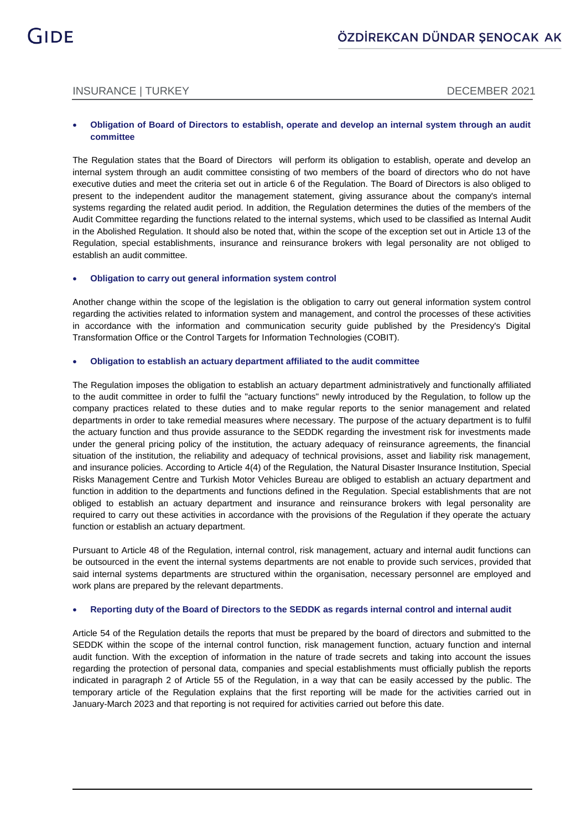### INSURANCE | TURKEY DECEMBER 2021

#### **Obligation of Board of Directors to establish, operate and develop an internal system through an audit committee**

The Regulation states that the Board of Directors will perform its obligation to establish, operate and develop an internal system through an audit committee consisting of two members of the board of directors who do not have executive duties and meet the criteria set out in article 6 of the Regulation. The Board of Directors is also obliged to present to the independent auditor the management statement, giving assurance about the company's internal systems regarding the related audit period. In addition, the Regulation determines the duties of the members of the Audit Committee regarding the functions related to the internal systems, which used to be classified as Internal Audit in the Abolished Regulation. It should also be noted that, within the scope of the exception set out in Article 13 of the Regulation, special establishments, insurance and reinsurance brokers with legal personality are not obliged to establish an audit committee.

#### **Obligation to carry out general information system control**

Another change within the scope of the legislation is the obligation to carry out general information system control regarding the activities related to information system and management, and control the processes of these activities in accordance with the information and communication security guide published by the Presidency's Digital Transformation Office or the Control Targets for Information Technologies (COBIT).

#### **Obligation to establish an actuary department affiliated to the audit committee**

The Regulation imposes the obligation to establish an actuary department administratively and functionally affiliated to the audit committee in order to fulfil the "actuary functions" newly introduced by the Regulation, to follow up the company practices related to these duties and to make regular reports to the senior management and related departments in order to take remedial measures where necessary. The purpose of the actuary department is to fulfil the actuary function and thus provide assurance to the SEDDK regarding the investment risk for investments made under the general pricing policy of the institution, the actuary adequacy of reinsurance agreements, the financial situation of the institution, the reliability and adequacy of technical provisions, asset and liability risk management, and insurance policies. According to Article 4(4) of the Regulation, the Natural Disaster Insurance Institution, Special Risks Management Centre and Turkish Motor Vehicles Bureau are obliged to establish an actuary department and function in addition to the departments and functions defined in the Regulation. Special establishments that are not obliged to establish an actuary department and insurance and reinsurance brokers with legal personality are required to carry out these activities in accordance with the provisions of the Regulation if they operate the actuary function or establish an actuary department.

Pursuant to Article 48 of the Regulation, internal control, risk management, actuary and internal audit functions can be outsourced in the event the internal systems departments are not enable to provide such services, provided that said internal systems departments are structured within the organisation, necessary personnel are employed and work plans are prepared by the relevant departments.

#### **Reporting duty of the Board of Directors to the SEDDK as regards internal control and internal audit**

Article 54 of the Regulation details the reports that must be prepared by the board of directors and submitted to the SEDDK within the scope of the internal control function, risk management function, actuary function and internal audit function. With the exception of information in the nature of trade secrets and taking into account the issues regarding the protection of personal data, companies and special establishments must officially publish the reports indicated in paragraph 2 of Article 55 of the Regulation, in a way that can be easily accessed by the public. The temporary article of the Regulation explains that the first reporting will be made for the activities carried out in January-March 2023 and that reporting is not required for activities carried out before this date.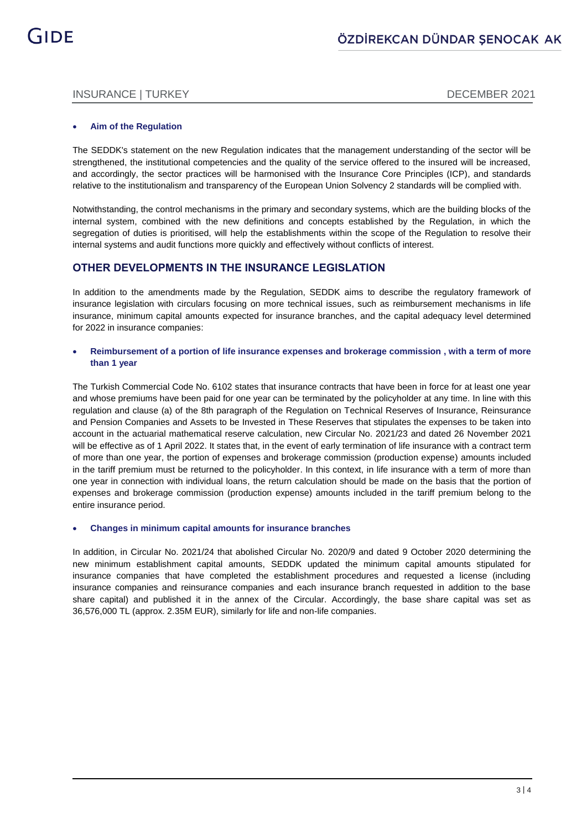### INSURANCE | TURKEY DECEMBER 2021

#### **Aim of the Regulation**

The SEDDK's statement on the new Regulation indicates that the management understanding of the sector will be strengthened, the institutional competencies and the quality of the service offered to the insured will be increased, and accordingly, the sector practices will be harmonised with the Insurance Core Principles (ICP), and standards relative to the institutionalism and transparency of the European Union Solvency 2 standards will be complied with.

Notwithstanding, the control mechanisms in the primary and secondary systems, which are the building blocks of the internal system, combined with the new definitions and concepts established by the Regulation, in which the segregation of duties is prioritised, will help the establishments within the scope of the Regulation to resolve their internal systems and audit functions more quickly and effectively without conflicts of interest.

### **OTHER DEVELOPMENTS IN THE INSURANCE LEGISLATION**

In addition to the amendments made by the Regulation, SEDDK aims to describe the regulatory framework of insurance legislation with circulars focusing on more technical issues, such as reimbursement mechanisms in life insurance, minimum capital amounts expected for insurance branches, and the capital adequacy level determined for 2022 in insurance companies:

### **Reimbursement of a portion of life insurance expenses and brokerage commission , with a term of more than 1 year**

The Turkish Commercial Code No. 6102 states that insurance contracts that have been in force for at least one year and whose premiums have been paid for one year can be terminated by the policyholder at any time. In line with this regulation and clause (a) of the 8th paragraph of the Regulation on Technical Reserves of Insurance, Reinsurance and Pension Companies and Assets to be Invested in These Reserves that stipulates the expenses to be taken into account in the actuarial mathematical reserve calculation, new Circular No. 2021/23 and dated 26 November 2021 will be effective as of 1 April 2022. It states that, in the event of early termination of life insurance with a contract term of more than one year, the portion of expenses and brokerage commission (production expense) amounts included in the tariff premium must be returned to the policyholder. In this context, in life insurance with a term of more than one year in connection with individual loans, the return calculation should be made on the basis that the portion of expenses and brokerage commission (production expense) amounts included in the tariff premium belong to the entire insurance period.

### **Changes in minimum capital amounts for insurance branches**

In addition, in Circular No. 2021/24 that abolished Circular No. 2020/9 and dated 9 October 2020 determining the new minimum establishment capital amounts, SEDDK updated the minimum capital amounts stipulated for insurance companies that have completed the establishment procedures and requested a license (including insurance companies and reinsurance companies and each insurance branch requested in addition to the base share capital) and published it in the annex of the Circular. Accordingly, the base share capital was set as 36,576,000 TL (approx. 2.35M EUR), similarly for life and non-life companies.